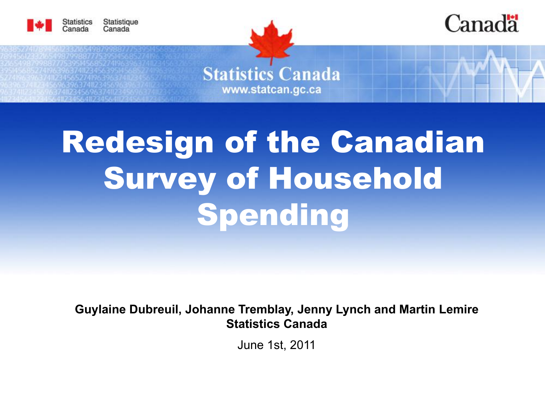



**Statistics Canada** www.statcan.gc.ca

# Redesign of the Canadian Survey of Household Spending

**Guylaine Dubreuil, Johanne Tremblay, Jenny Lynch and Martin Lemire Statistics Canada**

June 1st, 2011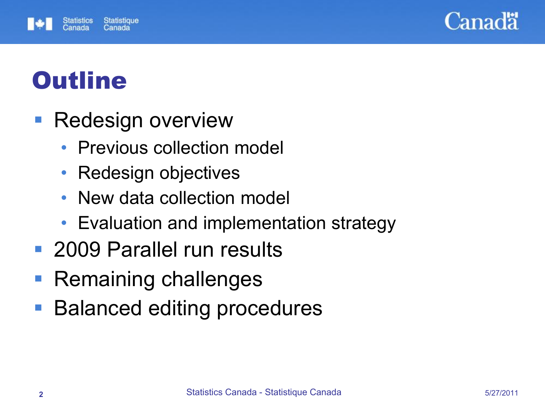



# **Outline**

- **Redesign overview** 
	- Previous collection model
	- Redesign objectives
	- New data collection model
	- Evaluation and implementation strategy
- 2009 Parallel run results
- Remaining challenges
- Balanced editing procedures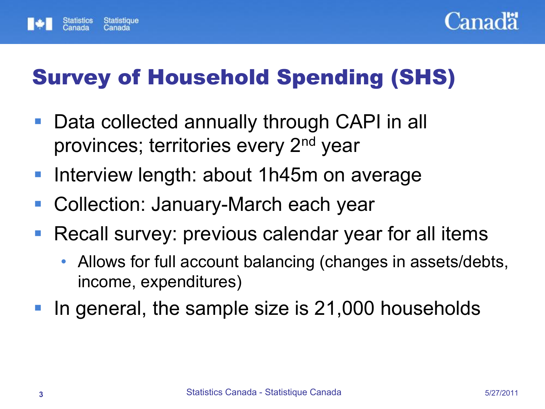



## Survey of Household Spending (SHS)

- Data collected annually through CAPI in all provinces; territories every 2<sup>nd</sup> year
- Interview length: about 1h45m on average
- Collection: January-March each year
- Recall survey: previous calendar year for all items
	- Allows for full account balancing (changes in assets/debts, income, expenditures)
- In general, the sample size is 21,000 households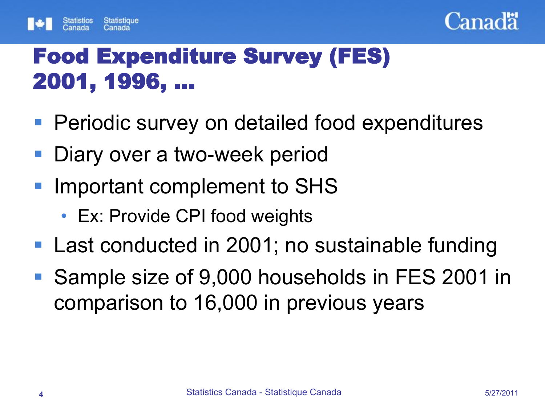



## Food Expenditure Survey (FES) 2001, 1996, …

- **Periodic survey on detailed food expenditures**
- **Diary over a two-week period**
- **Important complement to SHS** 
	- Ex: Provide CPI food weights
- Last conducted in 2001; no sustainable funding
- Sample size of 9,000 households in FES 2001 in comparison to 16,000 in previous years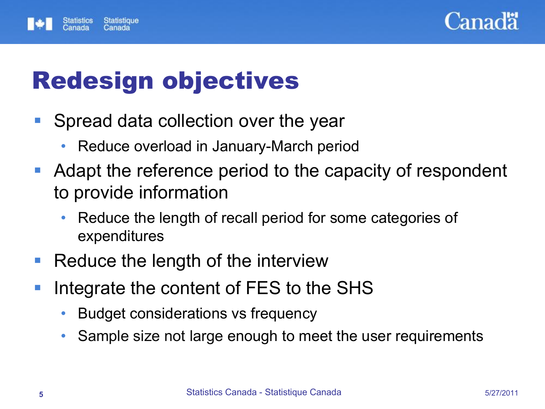



# Redesign objectives

- **Spread data collection over the year** 
	- Reduce overload in January-March period
- **Adapt the reference period to the capacity of respondent** to provide information
	- Reduce the length of recall period for some categories of expenditures
- Reduce the length of the interview
- **If** Integrate the content of FES to the SHS
	- Budget considerations vs frequency
	- Sample size not large enough to meet the user requirements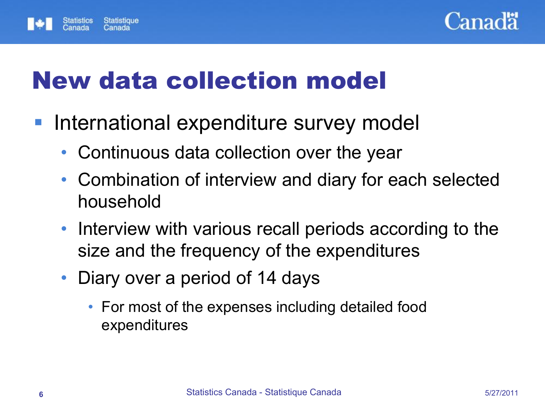



# New data collection model

- **International expenditure survey model** 
	- Continuous data collection over the year
	- Combination of interview and diary for each selected household
	- Interview with various recall periods according to the size and the frequency of the expenditures
	- Diary over a period of 14 days
		- For most of the expenses including detailed food expenditures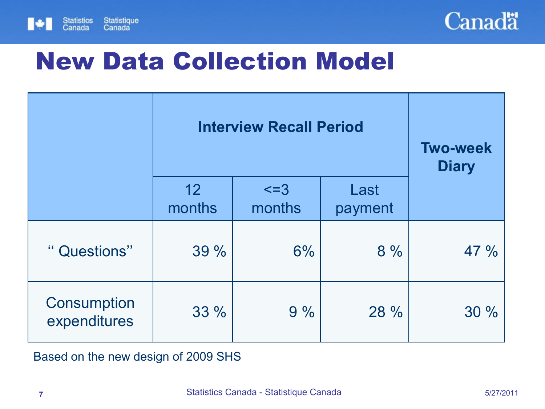



# New Data Collection Model

|                             |              | <b>Interview Recall Period</b> |      | <b>Two-week</b><br><b>Diary</b> |  |  |  |
|-----------------------------|--------------|--------------------------------|------|---------------------------------|--|--|--|
|                             | 12<br>months | $\leq$ =3<br>months            |      |                                 |  |  |  |
| " Questions"                | 39 %         | 6%                             | 8%   | 47 %                            |  |  |  |
| Consumption<br>expenditures | 33 %         | 9%                             | 28 % | 30%                             |  |  |  |

Based on the new design of 2009 SHS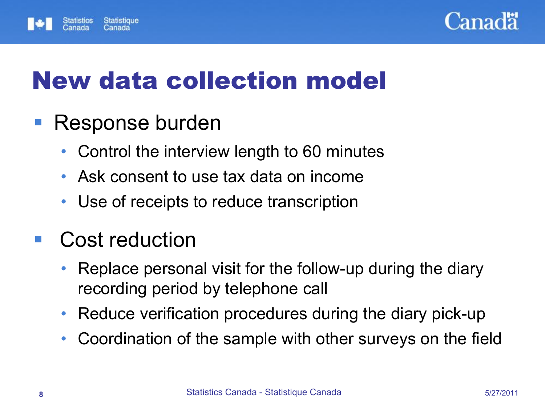



# New data collection model

## ■ Response burden

- Control the interview length to 60 minutes
- Ask consent to use tax data on income
- Use of receipts to reduce transcription

## Cost reduction

- Replace personal visit for the follow-up during the diary recording period by telephone call
- Reduce verification procedures during the diary pick-up
- Coordination of the sample with other surveys on the field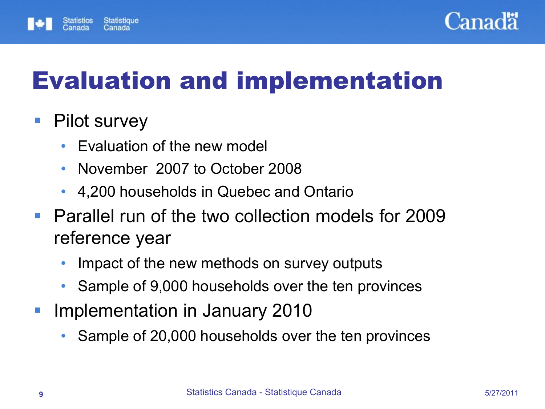



# Evaluation and implementation

## ■ Pilot survey

- Evaluation of the new model
- November 2007 to October 2008
- 4,200 households in Quebec and Ontario
- **Parallel run of the two collection models for 2009** reference year
	- Impact of the new methods on survey outputs
	- Sample of 9,000 households over the ten provinces
- **Implementation in January 2010** 
	- Sample of 20,000 households over the ten provinces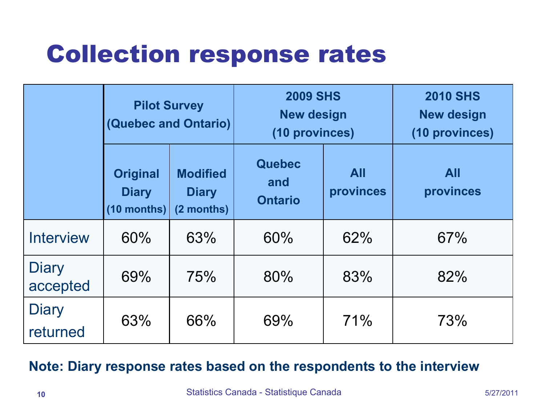# Collection response rates

|                          | <b>Pilot Survey</b><br><b>(Quebec and Ontario)</b> |                                               | <b>2009 SHS</b><br><b>New design</b><br>(10 provinces) |                         | <b>2010 SHS</b><br><b>New design</b><br>(10 provinces) |  |  |  |
|--------------------------|----------------------------------------------------|-----------------------------------------------|--------------------------------------------------------|-------------------------|--------------------------------------------------------|--|--|--|
|                          | <b>Original</b><br><b>Diary</b><br>(10 months)     | <b>Modified</b><br><b>Diary</b><br>(2 months) | <b>Quebec</b><br>and<br><b>Ontario</b>                 | <b>All</b><br>provinces | <b>All</b><br>provinces                                |  |  |  |
| <b>Interview</b>         | 60%                                                | 63%                                           | 60%                                                    | 62%                     | 67%                                                    |  |  |  |
| Diary<br>accepted        | 69%                                                | 75%                                           | 80%                                                    | 83%                     | 82%                                                    |  |  |  |
| <b>Diary</b><br>returned | 63%                                                | 66%                                           | 69%                                                    | 71%                     | 73%                                                    |  |  |  |

### **Note: Diary response rates based on the respondents to the interview**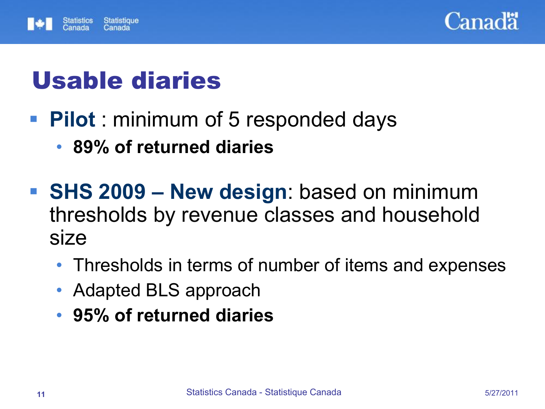



# Usable diaries

- **Pilot**: minimum of 5 responded days
	- **89% of returned diaries**
- **SHS 2009 New design**: based on minimum thresholds by revenue classes and household size
	- Thresholds in terms of number of items and expenses
	- Adapted BLS approach
	- **95% of returned diaries**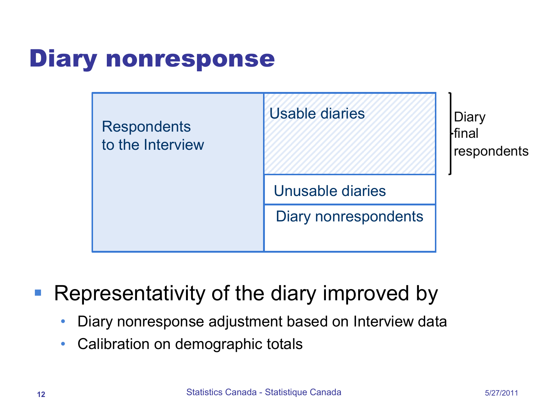# Diary nonresponse



Representativity of the diary improved by

- Diary nonresponse adjustment based on Interview data
- Calibration on demographic totals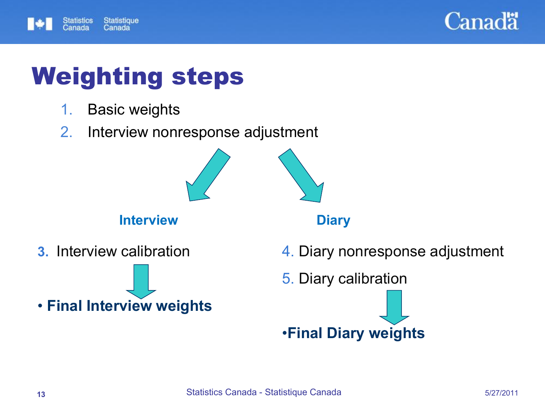



# Weighting steps

- 1. Basic weights
- 2. Interview nonresponse adjustment



### **Interview Diary**

**3.** Interview calibration

### • **Final Interview weights**

- 4. Diary nonresponse adjustment
- 5. Diary calibration

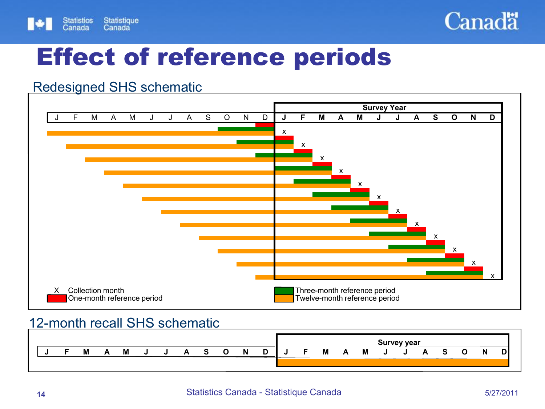



## Effect of reference periods

### Redesigned SHS schematic



#### 12-month recall SHS schematic

|  |   |  |  |  |    |        | <b>Survey year</b> |  |   |   |   |  |  |  |  |   |    |
|--|---|--|--|--|----|--------|--------------------|--|---|---|---|--|--|--|--|---|----|
|  | м |  |  |  | .N | ∍<br>◡ |                    |  | M | А | M |  |  |  |  | N | D. |
|  |   |  |  |  |    |        |                    |  |   |   |   |  |  |  |  |   |    |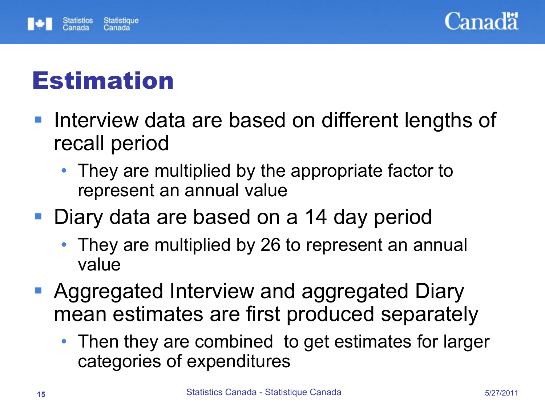



# Estimation

- **Interview data are based on different lengths of** recall period
	- They are multiplied by the appropriate factor to represent an annual value
- Diary data are based on a 14 day period
	- They are multiplied by 26 to represent an annual value
- Aggregated Interview and aggregated Diary mean estimates are first produced separately
	- Then they are combined to get estimates for larger categories of expenditures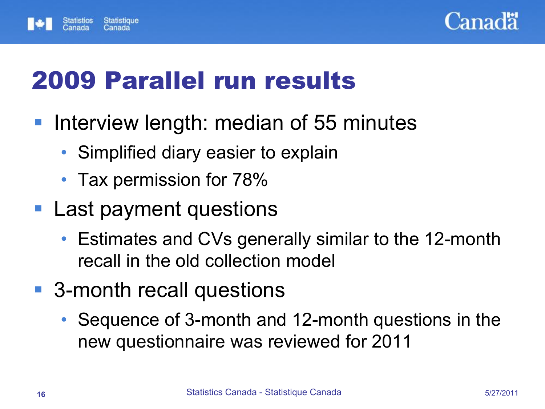



# 2009 Parallel run results

- **Interview length: median of 55 minutes** 
	- Simplified diary easier to explain
	- Tax permission for 78%
- Last payment questions
	- Estimates and CVs generally similar to the 12-month recall in the old collection model
- 3-month recall questions
	- Sequence of 3-month and 12-month questions in the new questionnaire was reviewed for 2011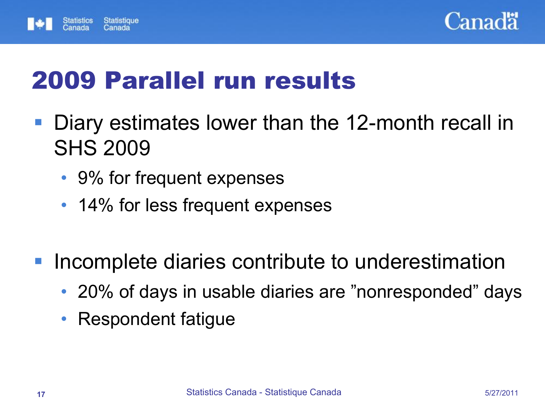



# 2009 Parallel run results

- Diary estimates lower than the 12-month recall in SHS 2009
	- 9% for frequent expenses
	- 14% for less frequent expenses
- Incomplete diaries contribute to underestimation
	- 20% of days in usable diaries are "nonresponded" days
	- Respondent fatigue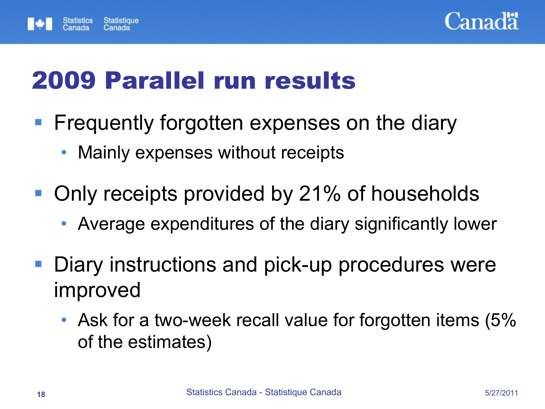



# 2009 Parallel run results

- **Figuently forgotten expenses on the diary** 
	- Mainly expenses without receipts
- Only receipts provided by 21% of households
	- Average expenditures of the diary significantly lower
- Diary instructions and pick-up procedures were improved
	- Ask for a two-week recall value for forgotten items (5% of the estimates)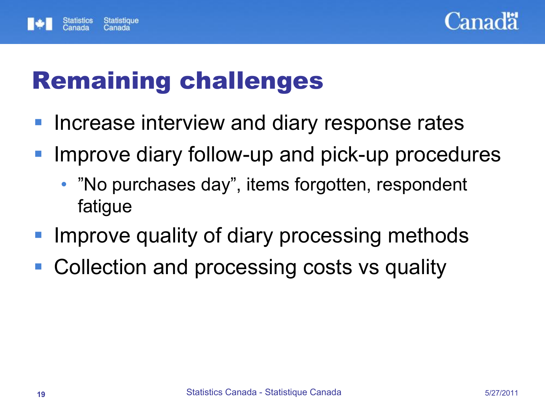



# Remaining challenges

- **Increase interview and diary response rates**
- **Improve diary follow-up and pick-up procedures** 
	- "No purchases day", items forgotten, respondent fatigue
- Improve quality of diary processing methods
- Collection and processing costs vs quality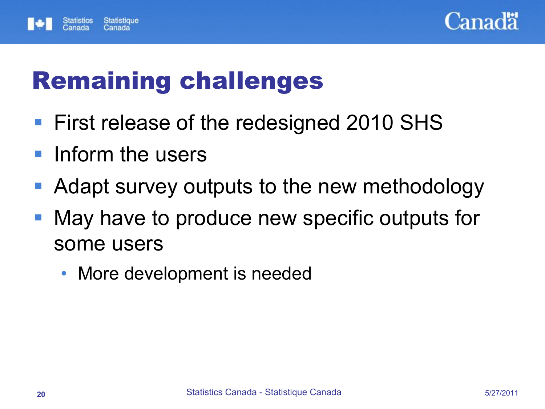



# Remaining challenges

- **First release of the redesigned 2010 SHS**
- **Inform the users**
- **Adapt survey outputs to the new methodology**
- May have to produce new specific outputs for some users
	- More development is needed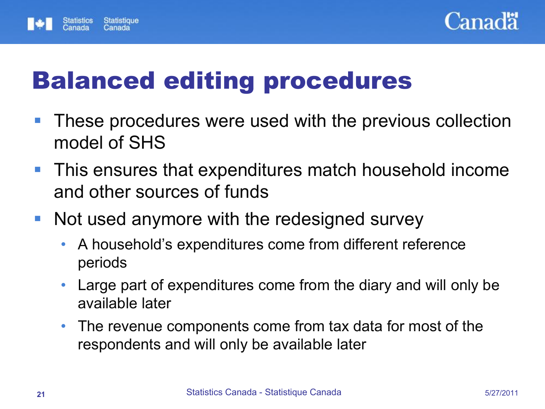



# Balanced editing procedures

- **These procedures were used with the previous collection** model of SHS
- **This ensures that expenditures match household income** and other sources of funds
- Not used anymore with the redesigned survey
	- A household's expenditures come from different reference periods
	- Large part of expenditures come from the diary and will only be available later
	- The revenue components come from tax data for most of the respondents and will only be available later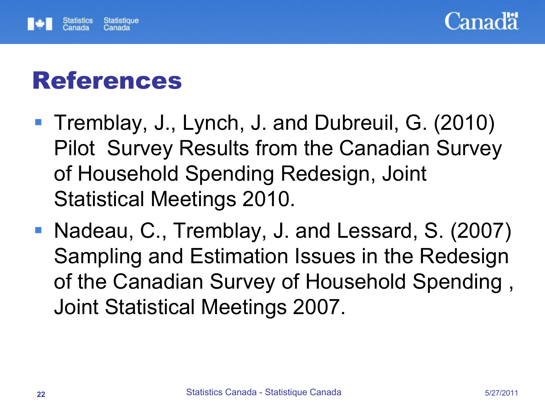



# References

- Tremblay, J., Lynch, J. and Dubreuil, G. (2010) Pilot Survey Results from the Canadian Survey of Household Spending Redesign, Joint Statistical Meetings 2010.
- Nadeau, C., Tremblay, J. and Lessard, S. (2007) Sampling and Estimation Issues in the Redesign of the Canadian Survey of Household Spending , Joint Statistical Meetings 2007.